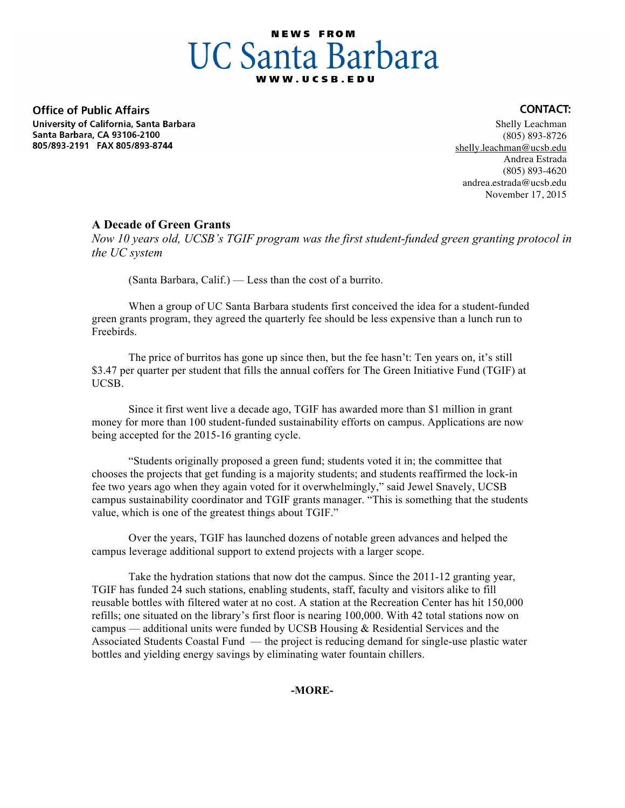# **NEWS FROM UC Santa Barbara**

**Office of Public Affairs** University of California, Santa Barbara Santa Barbara, CA 93106-2100 805/893-2191 FAX 805/893-8744

#### Shelly Leachman (805) 893-8726 shelly.leachman@ucsb.edu Andrea Estrada (805) 893-4620 andrea.estrada@ucsb.edu November 17, 2015

**CONTACT:** 

## **A Decade of Green Grants**

*Now 10 years old, UCSB's TGIF program was the first student-funded green granting protocol in the UC system*

(Santa Barbara, Calif.) — Less than the cost of a burrito.

When a group of UC Santa Barbara students first conceived the idea for a student-funded green grants program, they agreed the quarterly fee should be less expensive than a lunch run to Freebirds.

The price of burritos has gone up since then, but the fee hasn't: Ten years on, it's still \$3.47 per quarter per student that fills the annual coffers for The Green Initiative Fund (TGIF) at UCSB.

Since it first went live a decade ago, TGIF has awarded more than \$1 million in grant money for more than 100 student-funded sustainability efforts on campus. Applications are now being accepted for the 2015-16 granting cycle.

"Students originally proposed a green fund; students voted it in; the committee that chooses the projects that get funding is a majority students; and students reaffirmed the lock-in fee two years ago when they again voted for it overwhelmingly," said Jewel Snavely, UCSB campus sustainability coordinator and TGIF grants manager. "This is something that the students value, which is one of the greatest things about TGIF."

Over the years, TGIF has launched dozens of notable green advances and helped the campus leverage additional support to extend projects with a larger scope.

Take the hydration stations that now dot the campus. Since the 2011-12 granting year, TGIF has funded 24 such stations, enabling students, staff, faculty and visitors alike to fill reusable bottles with filtered water at no cost. A station at the Recreation Center has hit 150,000 refills; one situated on the library's first floor is nearing 100,000. With 42 total stations now on campus — additional units were funded by UCSB Housing & Residential Services and the Associated Students Coastal Fund — the project is reducing demand for single-use plastic water bottles and yielding energy savings by eliminating water fountain chillers.

## **-MORE-**